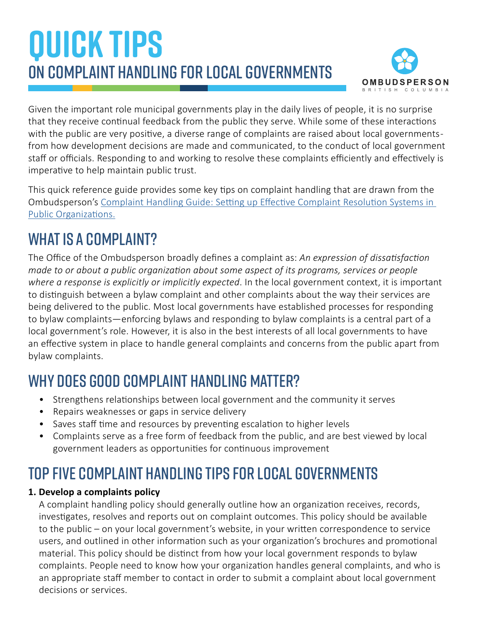# **QUICK TIPS** On complaint handling for local governments



Given the important role municipal governments play in the daily lives of people, it is no surprise that they receive continual feedback from the public they serve. While some of these interactions with the public are very positive, a diverse range of complaints are raised about local governmentsfrom how development decisions are made and communicated, to the conduct of local government staff or officials. Responding to and working to resolve these complaints efficiently and effectively is imperative to help maintain public trust.

This quick reference guide provides some key tips on complaint handling that are drawn from the Ombudsperson's [Complaint Handling Guide: Setting up Effective Complaint Resolution Systems in](https://bcombudsperson.ca/assets/media/OMB-ComplaintsGuide-Dec2020web.pdf)  [Public Organizations.](https://bcombudsperson.ca/assets/media/OMB-ComplaintsGuide-Dec2020web.pdf)

## WHAT IS A COMPI AINT?

The Office of the Ombudsperson broadly defines a complaint as: *An expression of dissatisfaction made to or about a public organization about some aspect of its programs, services or people where a response is explicitly or implicitly expected*. In the local government context, it is important to distinguish between a bylaw complaint and other complaints about the way their services are being delivered to the public. Most local governments have established processes for responding to bylaw complaints—enforcing bylaws and responding to bylaw complaints is a central part of a local government's role. However, it is also in the best interests of all local governments to have an effective system in place to handle general complaints and concerns from the public apart from bylaw complaints.

### Why does good complaint handling matter?

- Strengthens relationships between local government and the community it serves
- Repairs weaknesses or gaps in service delivery
- Saves staff time and resources by preventing escalation to higher levels
- Complaints serve as a free form of feedback from the public, and are best viewed by local government leaders as opportunities for continuous improvement

## Top five complaint handling tips for local governments

### **1. Develop a complaints policy**

A complaint handling policy should generally outline how an organization receives, records, investigates, resolves and reports out on complaint outcomes. This policy should be available to the public – on your local government's website, in your written correspondence to service users, and outlined in other information such as your organization's brochures and promotional material. This policy should be distinct from how your local government responds to bylaw complaints. People need to know how your organization handles general complaints, and who is an appropriate staff member to contact in order to submit a complaint about local government decisions or services.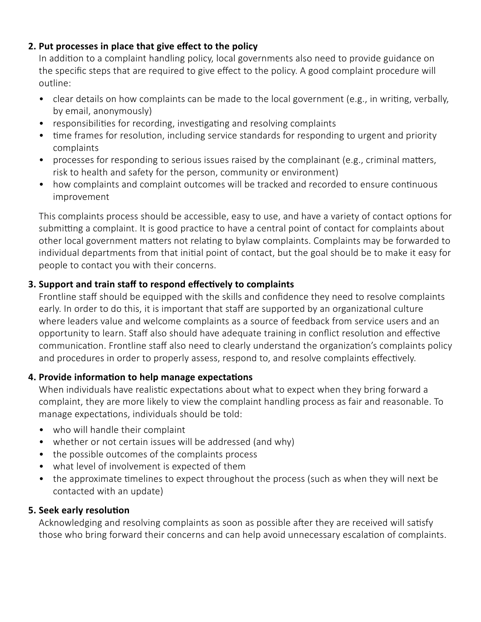### **2. Put processes in place that give effect to the policy**

In addition to a complaint handling policy, local governments also need to provide guidance on the specific steps that are required to give effect to the policy. A good complaint procedure will outline:

- clear details on how complaints can be made to the local government (e.g., in writing, verbally, by email, anonymously)
- responsibilities for recording, investigating and resolving complaints
- time frames for resolution, including service standards for responding to urgent and priority complaints
- processes for responding to serious issues raised by the complainant (e.g., criminal matters, risk to health and safety for the person, community or environment)
- how complaints and complaint outcomes will be tracked and recorded to ensure continuous improvement

This complaints process should be accessible, easy to use, and have a variety of contact options for submitting a complaint. It is good practice to have a central point of contact for complaints about other local government matters not relating to bylaw complaints. Complaints may be forwarded to individual departments from that initial point of contact, but the goal should be to make it easy for people to contact you with their concerns.

### **3. Support and train staff to respond effectively to complaints**

Frontline staff should be equipped with the skills and confidence they need to resolve complaints early. In order to do this, it is important that staff are supported by an organizational culture where leaders value and welcome complaints as a source of feedback from service users and an opportunity to learn. Staff also should have adequate training in conflict resolution and effective communication. Frontline staff also need to clearly understand the organization's complaints policy and procedures in order to properly assess, respond to, and resolve complaints effectively.

### **4. Provide information to help manage expectations**

When individuals have realistic expectations about what to expect when they bring forward a complaint, they are more likely to view the complaint handling process as fair and reasonable. To manage expectations, individuals should be told:

- who will handle their complaint
- whether or not certain issues will be addressed (and why)
- the possible outcomes of the complaints process
- what level of involvement is expected of them
- the approximate timelines to expect throughout the process (such as when they will next be contacted with an update)

### **5. Seek early resolution**

Acknowledging and resolving complaints as soon as possible after they are received will satisfy those who bring forward their concerns and can help avoid unnecessary escalation of complaints.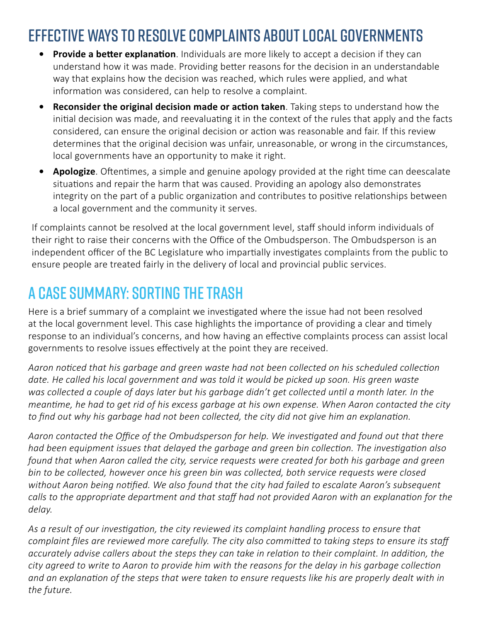### Effective ways to resolve complaints about local governments

- **• Provide a better explanation**. Individuals are more likely to accept a decision if they can understand how it was made. Providing better reasons for the decision in an understandable way that explains how the decision was reached, which rules were applied, and what information was considered, can help to resolve a complaint.
- **• Reconsider the original decision made or action taken**. Taking steps to understand how the initial decision was made, and reevaluating it in the context of the rules that apply and the facts considered, can ensure the original decision or action was reasonable and fair. If this review determines that the original decision was unfair, unreasonable, or wrong in the circumstances, local governments have an opportunity to make it right.
- **• Apologize**. Oftentimes, a simple and genuine apology provided at the right time can deescalate situations and repair the harm that was caused. Providing an apology also demonstrates integrity on the part of a public organization and contributes to positive relationships between a local government and the community it serves.

If complaints cannot be resolved at the local government level, staff should inform individuals of their right to raise their concerns with the Office of the Ombudsperson. The Ombudsperson is an independent officer of the BC Legislature who impartially investigates complaints from the public to ensure people are treated fairly in the delivery of local and provincial public services.

### A Case Summary: Sorting the Trash

Here is a brief summary of a complaint we investigated where the issue had not been resolved at the local government level. This case highlights the importance of providing a clear and timely response to an individual's concerns, and how having an effective complaints process can assist local governments to resolve issues effectively at the point they are received.

*Aaron noticed that his garbage and green waste had not been collected on his scheduled collection date. He called his local government and was told it would be picked up soon. His green waste was collected a couple of days later but his garbage didn't get collected until a month later. In the meantime, he had to get rid of his excess garbage at his own expense. When Aaron contacted the city to find out why his garbage had not been collected, the city did not give him an explanation.*

*Aaron contacted the Office of the Ombudsperson for help. We investigated and found out that there had been equipment issues that delayed the garbage and green bin collection. The investigation also found that when Aaron called the city, service requests were created for both his garbage and green bin to be collected, however once his green bin was collected, both service requests were closed without Aaron being notified. We also found that the city had failed to escalate Aaron's subsequent calls to the appropriate department and that staff had not provided Aaron with an explanation for the delay.* 

*As a result of our investigation, the city reviewed its complaint handling process to ensure that complaint files are reviewed more carefully. The city also committed to taking steps to ensure its staff accurately advise callers about the steps they can take in relation to their complaint. In addition, the city agreed to write to Aaron to provide him with the reasons for the delay in his garbage collection and an explanation of the steps that were taken to ensure requests like his are properly dealt with in the future.*